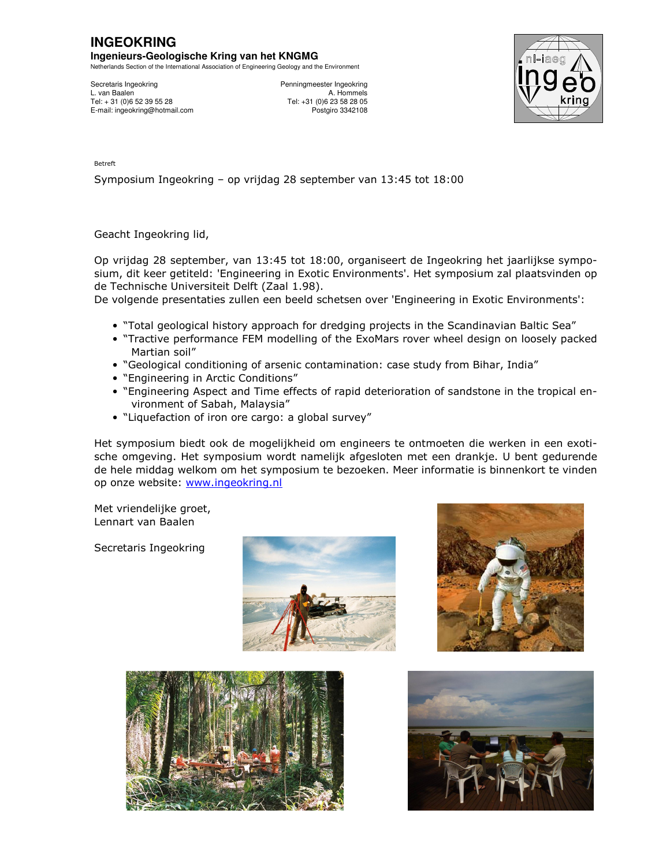## **INGEOKRING Ingenieurs-Geologische Kring van het KNGMG**

Netherlands Section of the International Association of Engineering Geology and the Environment

Secretaris Ingeokring **Penningmeester Ingeokring** L. van Baalen A. Hommels<br>
Tel: +31 (0)6 52 39 55 28 Tel: +31 (0)6 23 58 28 05 Tel: + 31 (0)6 52 39 55 28 Tel: +31 (0)6 23 58 28 05 E-mail: ingeokring@hotmail.com



Betreft

Symposium Ingeokring – op vrijdag 28 september van 13:45 tot 18:00

Geacht Ingeokring lid,

Op vrijdag 28 september, van 13:45 tot 18:00, organiseert de Ingeokring het jaarlijkse symposium, dit keer getiteld: 'Engineering in Exotic Environments'. Het symposium zal plaatsvinden op de Technische Universiteit Delft (Zaal 1.98).

De volgende presentaties zullen een beeld schetsen over 'Engineering in Exotic Environments':

- "Total geological history approach for dredging projects in the Scandinavian Baltic Sea"
- "Tractive performance FEM modelling of the ExoMars rover wheel design on loosely packed Martian soil"
- "Geological conditioning of arsenic contamination: case study from Bihar, India"
- "Engineering in Arctic Conditions"
- "Engineering Aspect and Time effects of rapid deterioration of sandstone in the tropical environment of Sabah, Malaysia"
- "Liquefaction of iron ore cargo: a global survey"

Het symposium biedt ook de mogelijkheid om engineers te ontmoeten die werken in een exotische omgeving. Het symposium wordt namelijk afgesloten met een drankje. U bent gedurende de hele middag welkom om het symposium te bezoeken. Meer informatie is binnenkort te vinden op onze website: www.ingeokring.nl

Met vriendelijke groet, Lennart van Baalen

Secretaris Ingeokring